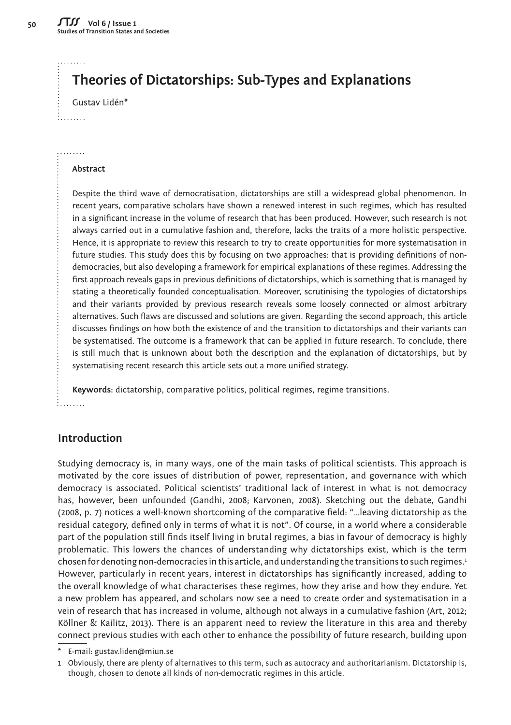. . . . . . . .

: . . . . . . . .

. . . . . . . .

**50**

# **Theories of Dictatorships: Sub-Types and Explanations**

Gustav Lidén\*

**Abstract**

Despite the third wave of democratisation, dictatorships are still a widespread global phenomenon. In recent years, comparative scholars have shown a renewed interest in such regimes, which has resulted in a significant increase in the volume of research that has been produced. However, such research is not always carried out in a cumulative fashion and, therefore, lacks the traits of a more holistic perspective. Hence, it is appropriate to review this research to try to create opportunities for more systematisation in future studies. This study does this by focusing on two approaches: that is providing definitions of nondemocracies, but also developing a framework for empirical explanations of these regimes. Addressing the first approach reveals gaps in previous definitions of dictatorships, which is something that is managed by stating a theoretically founded conceptualisation. Moreover, scrutinising the typologies of dictatorships and their variants provided by previous research reveals some loosely connected or almost arbitrary alternatives. Such flaws are discussed and solutions are given. Regarding the second approach, this article discusses findings on how both the existence of and the transition to dictatorships and their variants can be systematised. The outcome is a framework that can be applied in future research. To conclude, there is still much that is unknown about both the description and the explanation of dictatorships, but by systematising recent research this article sets out a more unified strategy.

**Keywords:** dictatorship, comparative politics, political regimes, regime transitions. : . . . . . . . .

## **Introduction**

Studying democracy is, in many ways, one of the main tasks of political scientists. This approach is motivated by the core issues of distribution of power, representation, and governance with which democracy is associated. Political scientists' traditional lack of interest in what is not democracy has, however, been unfounded (Gandhi, 2008; Karvonen, 2008). Sketching out the debate, Gandhi (2008, p. 7) notices a well-known shortcoming of the comparative field: "…leaving dictatorship as the residual category, defined only in terms of what it is not". Of course, in a world where a considerable part of the population still finds itself living in brutal regimes, a bias in favour of democracy is highly problematic. This lowers the chances of understanding why dictatorships exist, which is the term chosen for denoting non-democracies in this article, and understanding the transitions to such regimes.<sup>1</sup> However, particularly in recent years, interest in dictatorships has significantly increased, adding to the overall knowledge of what characterises these regimes, how they arise and how they endure. Yet a new problem has appeared, and scholars now see a need to create order and systematisation in a vein of research that has increased in volume, although not always in a cumulative fashion (Art, 2012; Köllner & Kailitz, 2013). There is an apparent need to review the literature in this area and thereby connect previous studies with each other to enhance the possibility of future research, building upon

\* E-mail: [gustav.liden@miun.se](mailto:gustav.liden%40miun.se?subject=stss)

1 Obviously, there are plenty of alternatives to this term, such as autocracy and authoritarianism. Dictatorship is, though, chosen to denote all kinds of non-democratic regimes in this article.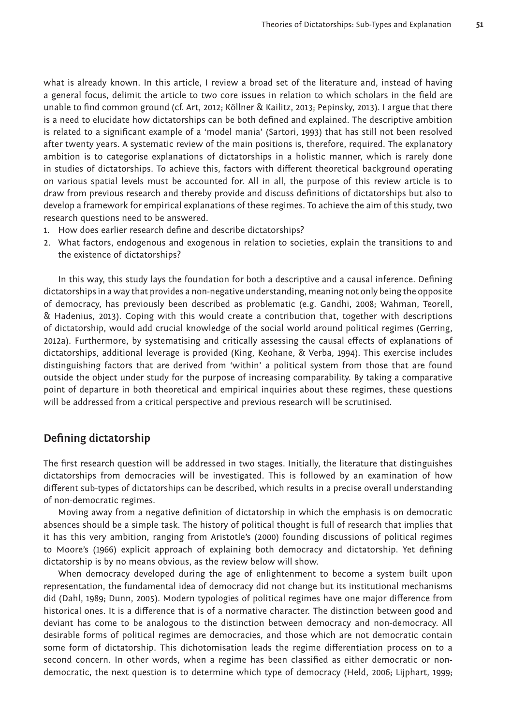what is already known. In this article, I review a broad set of the literature and, instead of having a general focus, delimit the article to two core issues in relation to which scholars in the field are unable to find common ground (cf. Art, 2012; Köllner & Kailitz, 2013; Pepinsky, 2013). I argue that there is a need to elucidate how dictatorships can be both defined and explained. The descriptive ambition is related to a significant example of a 'model mania' (Sartori, 1993) that has still not been resolved after twenty years. A systematic review of the main positions is, therefore, required. The explanatory ambition is to categorise explanations of dictatorships in a holistic manner, which is rarely done in studies of dictatorships. To achieve this, factors with different theoretical background operating on various spatial levels must be accounted for. All in all, the purpose of this review article is to draw from previous research and thereby provide and discuss definitions of dictatorships but also to develop a framework for empirical explanations of these regimes. To achieve the aim of this study, two research questions need to be answered.

- 1. How does earlier research define and describe dictatorships?
- 2. What factors, endogenous and exogenous in relation to societies, explain the transitions to and the existence of dictatorships?

In this way, this study lays the foundation for both a descriptive and a causal inference. Defining dictatorships in a way that provides a non-negative understanding, meaning not only being the opposite of democracy, has previously been described as problematic (e.g. Gandhi, 2008; Wahman, Teorell, & Hadenius, 2013). Coping with this would create a contribution that, together with descriptions of dictatorship, would add crucial knowledge of the social world around political regimes (Gerring, 2012a). Furthermore, by systematising and critically assessing the causal effects of explanations of dictatorships, additional leverage is provided (King, Keohane, & Verba, 1994). This exercise includes distinguishing factors that are derived from 'within' a political system from those that are found outside the object under study for the purpose of increasing comparability. By taking a comparative point of departure in both theoretical and empirical inquiries about these regimes, these questions will be addressed from a critical perspective and previous research will be scrutinised.

### **Defining dictatorship**

The first research question will be addressed in two stages. Initially, the literature that distinguishes dictatorships from democracies will be investigated. This is followed by an examination of how different sub-types of dictatorships can be described, which results in a precise overall understanding of non-democratic regimes.

Moving away from a negative definition of dictatorship in which the emphasis is on democratic absences should be a simple task. The history of political thought is full of research that implies that it has this very ambition, ranging from Aristotle's (2000) founding discussions of political regimes to Moore's (1966) explicit approach of explaining both democracy and dictatorship. Yet defining dictatorship is by no means obvious, as the review below will show.

When democracy developed during the age of enlightenment to become a system built upon representation, the fundamental idea of democracy did not change but its institutional mechanisms did (Dahl, 1989; Dunn, 2005). Modern typologies of political regimes have one major difference from historical ones. It is a difference that is of a normative character. The distinction between good and deviant has come to be analogous to the distinction between democracy and non-democracy. All desirable forms of political regimes are democracies, and those which are not democratic contain some form of dictatorship. This dichotomisation leads the regime differentiation process on to a second concern. In other words, when a regime has been classified as either democratic or nondemocratic, the next question is to determine which type of democracy (Held, 2006; Lijphart, 1999;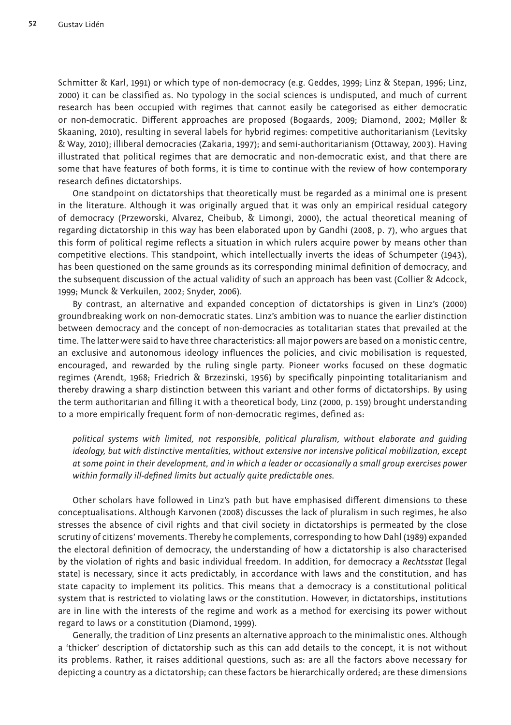Schmitter & Karl, 1991) or which type of non-democracy (e.g. Geddes, 1999; Linz & Stepan, 1996; Linz, 2000) it can be classified as. No typology in the social sciences is undisputed, and much of current research has been occupied with regimes that cannot easily be categorised as either democratic or non-democratic. Different approaches are proposed (Bogaards, 2009; Diamond, 2002; Møller & Skaaning, 2010), resulting in several labels for hybrid regimes: competitive authoritarianism (Levitsky & Way, 2010); illiberal democracies (Zakaria, 1997); and semi-authoritarianism (Ottaway, 2003). Having illustrated that political regimes that are democratic and non-democratic exist, and that there are some that have features of both forms, it is time to continue with the review of how contemporary research defines dictatorships.

One standpoint on dictatorships that theoretically must be regarded as a minimal one is present in the literature. Although it was originally argued that it was only an empirical residual category of democracy (Przeworski, Alvarez, Cheibub, & Limongi, 2000), the actual theoretical meaning of regarding dictatorship in this way has been elaborated upon by Gandhi (2008, p. 7), who argues that this form of political regime reflects a situation in which rulers acquire power by means other than competitive elections. This standpoint, which intellectually inverts the ideas of Schumpeter (1943), has been questioned on the same grounds as its corresponding minimal definition of democracy, and the subsequent discussion of the actual validity of such an approach has been vast (Collier & Adcock, 1999; Munck & Verkuilen, 2002; Snyder, 2006).

By contrast, an alternative and expanded conception of dictatorships is given in Linz's (2000) groundbreaking work on non-democratic states. Linz's ambition was to nuance the earlier distinction between democracy and the concept of non-democracies as totalitarian states that prevailed at the time. The latter were said to have three characteristics: all major powers are based on a monistic centre, an exclusive and autonomous ideology influences the policies, and civic mobilisation is requested, encouraged, and rewarded by the ruling single party. Pioneer works focused on these dogmatic regimes (Arendt, 1968; Friedrich & Brzezinski, 1956) by specifically pinpointing totalitarianism and thereby drawing a sharp distinction between this variant and other forms of dictatorships. By using the term authoritarian and filling it with a theoretical body, Linz (2000, p. 159) brought understanding to a more empirically frequent form of non-democratic regimes, defined as:

*political systems with limited, not responsible, political pluralism, without elaborate and guiding ideology, but with distinctive mentalities, without extensive nor intensive political mobilization, except at some point in their development, and in which a leader or occasionally a small group exercises power within formally ill-defined limits but actually quite predictable ones.*

Other scholars have followed in Linz's path but have emphasised different dimensions to these conceptualisations. Although Karvonen (2008) discusses the lack of pluralism in such regimes, he also stresses the absence of civil rights and that civil society in dictatorships is permeated by the close scrutiny of citizens' movements. Thereby he complements, corresponding to how Dahl (1989) expanded the electoral definition of democracy, the understanding of how a dictatorship is also characterised by the violation of rights and basic individual freedom. In addition, for democracy a *Rechtsstat* [legal state] is necessary, since it acts predictably, in accordance with laws and the constitution, and has state capacity to implement its politics. This means that a democracy is a constitutional political system that is restricted to violating laws or the constitution. However, in dictatorships, institutions are in line with the interests of the regime and work as a method for exercising its power without regard to laws or a constitution (Diamond, 1999).

Generally, the tradition of Linz presents an alternative approach to the minimalistic ones. Although a 'thicker' description of dictatorship such as this can add details to the concept, it is not without its problems. Rather, it raises additional questions, such as: are all the factors above necessary for depicting a country as a dictatorship; can these factors be hierarchically ordered; are these dimensions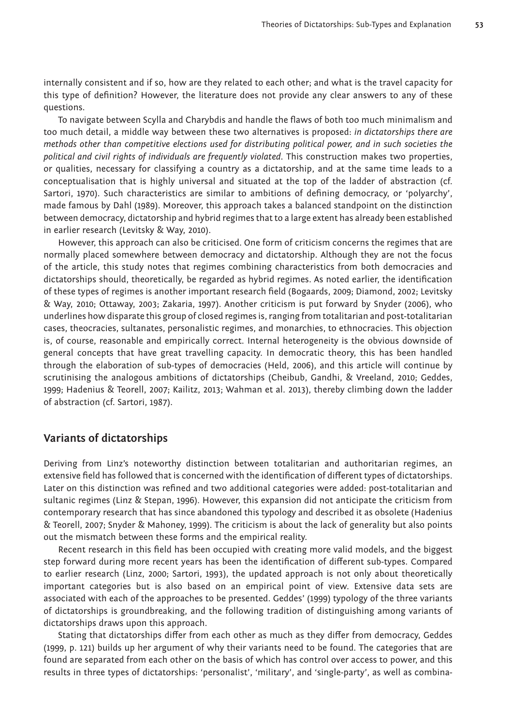internally consistent and if so, how are they related to each other; and what is the travel capacity for this type of definition? However, the literature does not provide any clear answers to any of these questions.

To navigate between Scylla and Charybdis and handle the flaws of both too much minimalism and too much detail, a middle way between these two alternatives is proposed: *in dictatorships there are methods other than competitive elections used for distributing political power, and in such societies the political and civil rights of individuals are frequently violated*. This construction makes two properties, or qualities, necessary for classifying a country as a dictatorship, and at the same time leads to a conceptualisation that is highly universal and situated at the top of the ladder of abstraction (cf. Sartori, 1970). Such characteristics are similar to ambitions of defining democracy, or 'polyarchy', made famous by Dahl (1989). Moreover, this approach takes a balanced standpoint on the distinction between democracy, dictatorship and hybrid regimes that to a large extent has already been established in earlier research (Levitsky & Way, 2010).

However, this approach can also be criticised. One form of criticism concerns the regimes that are normally placed somewhere between democracy and dictatorship. Although they are not the focus of the article, this study notes that regimes combining characteristics from both democracies and dictatorships should, theoretically, be regarded as hybrid regimes. As noted earlier, the identification of these types of regimes is another important research field (Bogaards, 2009; Diamond, 2002; Levitsky & Way, 2010; Ottaway, 2003; Zakaria, 1997). Another criticism is put forward by Snyder (2006), who underlines how disparate this group of closed regimes is, ranging from totalitarian and post-totalitarian cases, theocracies, sultanates, personalistic regimes, and monarchies, to ethnocracies. This objection is, of course, reasonable and empirically correct. Internal heterogeneity is the obvious downside of general concepts that have great travelling capacity. In democratic theory, this has been handled through the elaboration of sub-types of democracies (Held, 2006), and this article will continue by scrutinising the analogous ambitions of dictatorships (Cheibub, Gandhi, & Vreeland, 2010; Geddes, 1999; Hadenius & Teorell, 2007; Kailitz, 2013; Wahman et al. 2013), thereby climbing down the ladder of abstraction (cf. Sartori, 1987).

### **Variants of dictatorships**

Deriving from Linz's noteworthy distinction between totalitarian and authoritarian regimes, an extensive field has followed that is concerned with the identification of different types of dictatorships. Later on this distinction was refined and two additional categories were added: post-totalitarian and sultanic regimes (Linz & Stepan, 1996). However, this expansion did not anticipate the criticism from contemporary research that has since abandoned this typology and described it as obsolete (Hadenius & Teorell, 2007; Snyder & Mahoney, 1999). The criticism is about the lack of generality but also points out the mismatch between these forms and the empirical reality.

Recent research in this field has been occupied with creating more valid models, and the biggest step forward during more recent years has been the identification of different sub-types. Compared to earlier research (Linz, 2000; Sartori, 1993), the updated approach is not only about theoretically important categories but is also based on an empirical point of view. Extensive data sets are associated with each of the approaches to be presented. Geddes' (1999) typology of the three variants of dictatorships is groundbreaking, and the following tradition of distinguishing among variants of dictatorships draws upon this approach.

Stating that dictatorships differ from each other as much as they differ from democracy, Geddes (1999, p. 121) builds up her argument of why their variants need to be found. The categories that are found are separated from each other on the basis of which has control over access to power, and this results in three types of dictatorships: 'personalist', 'military', and 'single-party', as well as combina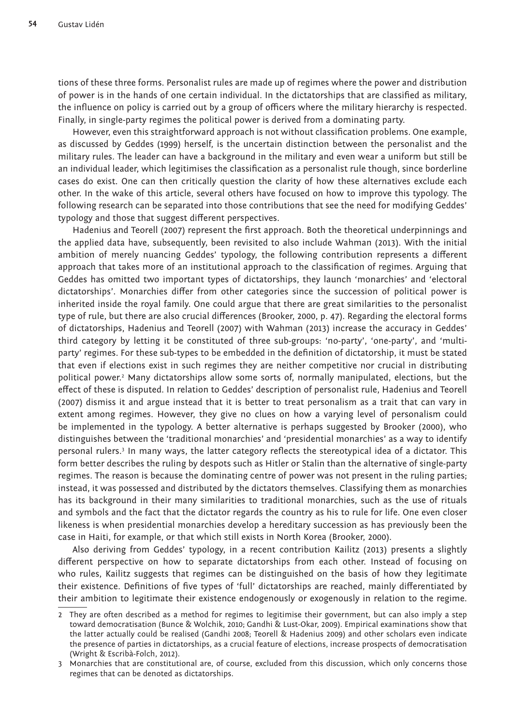tions of these three forms. Personalist rules are made up of regimes where the power and distribution of power is in the hands of one certain individual. In the dictatorships that are classified as military, the influence on policy is carried out by a group of officers where the military hierarchy is respected. Finally, in single-party regimes the political power is derived from a dominating party.

However, even this straightforward approach is not without classification problems. One example, as discussed by Geddes (1999) herself, is the uncertain distinction between the personalist and the military rules. The leader can have a background in the military and even wear a uniform but still be an individual leader, which legitimises the classification as a personalist rule though, since borderline cases do exist. One can then critically question the clarity of how these alternatives exclude each other. In the wake of this article, several others have focused on how to improve this typology. The following research can be separated into those contributions that see the need for modifying Geddes' typology and those that suggest different perspectives.

Hadenius and Teorell (2007) represent the first approach. Both the theoretical underpinnings and the applied data have, subsequently, been revisited to also include Wahman (2013). With the initial ambition of merely nuancing Geddes' typology, the following contribution represents a different approach that takes more of an institutional approach to the classification of regimes. Arguing that Geddes has omitted two important types of dictatorships, they launch 'monarchies' and 'electoral dictatorships'. Monarchies differ from other categories since the succession of political power is inherited inside the royal family. One could argue that there are great similarities to the personalist type of rule, but there are also crucial differences (Brooker, 2000, p. 47). Regarding the electoral forms of dictatorships, Hadenius and Teorell (2007) with Wahman (2013) increase the accuracy in Geddes' third category by letting it be constituted of three sub-groups: 'no-party', 'one-party', and 'multiparty' regimes. For these sub-types to be embedded in the definition of dictatorship, it must be stated that even if elections exist in such regimes they are neither competitive nor crucial in distributing political power.<sup>2</sup> Many dictatorships allow some sorts of, normally manipulated, elections, but the effect of these is disputed. In relation to Geddes' description of personalist rule, Hadenius and Teorell (2007) dismiss it and argue instead that it is better to treat personalism as a trait that can vary in extent among regimes. However, they give no clues on how a varying level of personalism could be implemented in the typology. A better alternative is perhaps suggested by Brooker (2000), who distinguishes between the 'traditional monarchies' and 'presidential monarchies' as a way to identify personal rulers.3 In many ways, the latter category reflects the stereotypical idea of a dictator. This form better describes the ruling by despots such as Hitler or Stalin than the alternative of single-party regimes. The reason is because the dominating centre of power was not present in the ruling parties; instead, it was possessed and distributed by the dictators themselves. Classifying them as monarchies has its background in their many similarities to traditional monarchies, such as the use of rituals and symbols and the fact that the dictator regards the country as his to rule for life. One even closer likeness is when presidential monarchies develop a hereditary succession as has previously been the case in Haiti, for example, or that which still exists in North Korea (Brooker, 2000).

Also deriving from Geddes' typology, in a recent contribution Kailitz (2013) presents a slightly different perspective on how to separate dictatorships from each other. Instead of focusing on who rules, Kailitz suggests that regimes can be distinguished on the basis of how they legitimate their existence. Definitions of five types of 'full' dictatorships are reached, mainly differentiated by their ambition to legitimate their existence endogenously or exogenously in relation to the regime.

<sup>2</sup> They are often described as a method for regimes to legitimise their government, but can also imply a step toward democratisation (Bunce & Wolchik, 2010; Gandhi & Lust-Okar, 2009). Empirical examinations show that the latter actually could be realised (Gandhi 2008; Teorell & Hadenius 2009) and other scholars even indicate the presence of parties in dictatorships, as a crucial feature of elections, increase prospects of democratisation (Wright & Escribà-Folch, 2012).

<sup>3</sup> Monarchies that are constitutional are, of course, excluded from this discussion, which only concerns those regimes that can be denoted as dictatorships.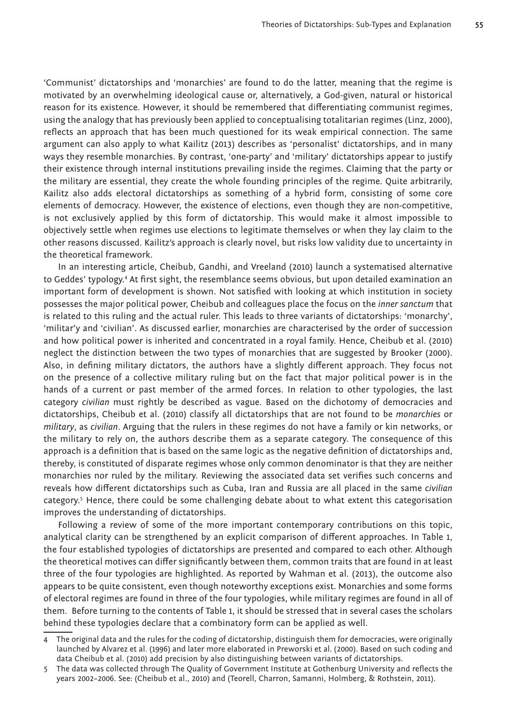'Communist' dictatorships and 'monarchies' are found to do the latter, meaning that the regime is motivated by an overwhelming ideological cause or, alternatively, a God-given, natural or historical reason for its existence. However, it should be remembered that differentiating communist regimes, using the analogy that has previously been applied to conceptualising totalitarian regimes (Linz, 2000), reflects an approach that has been much questioned for its weak empirical connection. The same argument can also apply to what Kailitz (2013) describes as 'personalist' dictatorships, and in many ways they resemble monarchies. By contrast, 'one-party' and 'military' dictatorships appear to justify their existence through internal institutions prevailing inside the regimes. Claiming that the party or the military are essential, they create the whole founding principles of the regime. Quite arbitrarily, Kailitz also adds electoral dictatorships as something of a hybrid form, consisting of some core elements of democracy. However, the existence of elections, even though they are non-competitive, is not exclusively applied by this form of dictatorship. This would make it almost impossible to objectively settle when regimes use elections to legitimate themselves or when they lay claim to the other reasons discussed. Kailitz's approach is clearly novel, but risks low validity due to uncertainty in the theoretical framework.

In an interesting article, Cheibub, Gandhi, and Vreeland (2010) launch a systematised alternative to Geddes' typology.4 At first sight, the resemblance seems obvious, but upon detailed examination an important form of development is shown. Not satisfied with looking at which institution in society possesses the major political power, Cheibub and colleagues place the focus on the *inner sanctum* that is related to this ruling and the actual ruler. This leads to three variants of dictatorships: 'monarchy', 'militar'y and 'civilian'. As discussed earlier, monarchies are characterised by the order of succession and how political power is inherited and concentrated in a royal family. Hence, Cheibub et al. (2010) neglect the distinction between the two types of monarchies that are suggested by Brooker (2000). Also, in defining military dictators, the authors have a slightly different approach. They focus not on the presence of a collective military ruling but on the fact that major political power is in the hands of a current or past member of the armed forces. In relation to other typologies, the last category *civilian* must rightly be described as vague. Based on the dichotomy of democracies and dictatorships, Cheibub et al. (2010) classify all dictatorships that are not found to be *monarchies* or *military*, as *civilian*. Arguing that the rulers in these regimes do not have a family or kin networks, or the military to rely on, the authors describe them as a separate category. The consequence of this approach is a definition that is based on the same logic as the negative definition of dictatorships and, thereby, is constituted of disparate regimes whose only common denominator is that they are neither monarchies nor ruled by the military. Reviewing the associated data set verifies such concerns and reveals how different dictatorships such as Cuba, Iran and Russia are all placed in the same *civilian*  category.5 Hence, there could be some challenging debate about to what extent this categorisation improves the understanding of dictatorships.

Following a review of some of the more important contemporary contributions on this topic, analytical clarity can be strengthened by an explicit comparison of different approaches. In Table 1, the four established typologies of dictatorships are presented and compared to each other. Although the theoretical motives can differ significantly between them, common traits that are found in at least three of the four typologies are highlighted. As reported by Wahman et al. (2013), the outcome also appears to be quite consistent, even though noteworthy exceptions exist. Monarchies and some forms of electoral regimes are found in three of the four typologies, while military regimes are found in all of them. Before turning to the contents of Table 1, it should be stressed that in several cases the scholars behind these typologies declare that a combinatory form can be applied as well.

<sup>4</sup> The original data and the rules for the coding of dictatorship, distinguish them for democracies, were originally launched by Alvarez et al. (1996) and later more elaborated in Preworski et al. (2000). Based on such coding and data Cheibub et al. (2010) add precision by also distinguishing between variants of dictatorships.

<sup>5</sup> The data was collected through The Quality of Government Institute at Gothenburg University and reflects the years 2002–2006. See: (Cheibub et al., 2010) and (Teorell, Charron, Samanni, Holmberg, & Rothstein, 2011).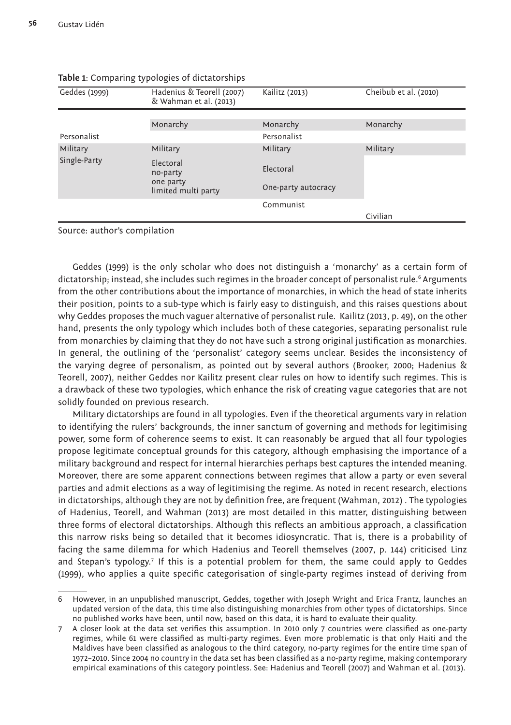| Geddes (1999) | Hadenius & Teorell (2007)<br>& Wahman et al. (2013) | Kailitz (2013)      | Cheibub et al. (2010) |
|---------------|-----------------------------------------------------|---------------------|-----------------------|
|               |                                                     |                     |                       |
|               | Monarchy                                            | Monarchy            | Monarchy              |
| Personalist   |                                                     | Personalist         |                       |
| Military      | Military                                            | Military            | Military              |
| Single-Party  | Electoral<br>no-party<br>one party                  | Electoral           |                       |
|               | limited multi party                                 | One-party autocracy |                       |
|               |                                                     | Communist           |                       |
|               |                                                     |                     | Civilian              |

#### **Table 1**: Comparing typologies of dictatorships

Source: author's compilation

Geddes (1999) is the only scholar who does not distinguish a 'monarchy' as a certain form of dictatorship; instead, she includes such regimes in the broader concept of personalist rule.<sup>6</sup> Arguments from the other contributions about the importance of monarchies, in which the head of state inherits their position, points to a sub-type which is fairly easy to distinguish, and this raises questions about why Geddes proposes the much vaguer alternative of personalist rule. Kailitz (2013, p. 49), on the other hand, presents the only typology which includes both of these categories, separating personalist rule from monarchies by claiming that they do not have such a strong original justification as monarchies. In general, the outlining of the 'personalist' category seems unclear. Besides the inconsistency of the varying degree of personalism, as pointed out by several authors (Brooker, 2000; Hadenius & Teorell, 2007), neither Geddes nor Kailitz present clear rules on how to identify such regimes. This is a drawback of these two typologies, which enhance the risk of creating vague categories that are not solidly founded on previous research.

Military dictatorships are found in all typologies. Even if the theoretical arguments vary in relation to identifying the rulers' backgrounds, the inner sanctum of governing and methods for legitimising power, some form of coherence seems to exist. It can reasonably be argued that all four typologies propose legitimate conceptual grounds for this category, although emphasising the importance of a military background and respect for internal hierarchies perhaps best captures the intended meaning. Moreover, there are some apparent connections between regimes that allow a party or even several parties and admit elections as a way of legitimising the regime. As noted in recent research, elections in dictatorships, although they are not by definition free, are frequent (Wahman, 2012) . The typologies of Hadenius, Teorell, and Wahman (2013) are most detailed in this matter, distinguishing between three forms of electoral dictatorships. Although this reflects an ambitious approach, a classification this narrow risks being so detailed that it becomes idiosyncratic. That is, there is a probability of facing the same dilemma for which Hadenius and Teorell themselves (2007, p. 144) criticised Linz and Stepan's typology.7 If this is a potential problem for them, the same could apply to Geddes (1999), who applies a quite specific categorisation of single-party regimes instead of deriving from

<sup>6</sup> However, in an unpublished manuscript, Geddes, together with Joseph Wright and Erica Frantz, launches an updated version of the data, this time also distinguishing monarchies from other types of dictatorships. Since no published works have been, until now, based on this data, it is hard to evaluate their quality.

<sup>7</sup> A closer look at the data set verifies this assumption. In 2010 only 7 countries were classified as one-party regimes, while 61 were classified as multi-party regimes. Even more problematic is that only Haiti and the Maldives have been classified as analogous to the third category, no-party regimes for the entire time span of 1972–2010. Since 2004 no country in the data set has been classified as a no-party regime, making contemporary empirical examinations of this category pointless. See: Hadenius and Teorell (2007) and Wahman et al. (2013).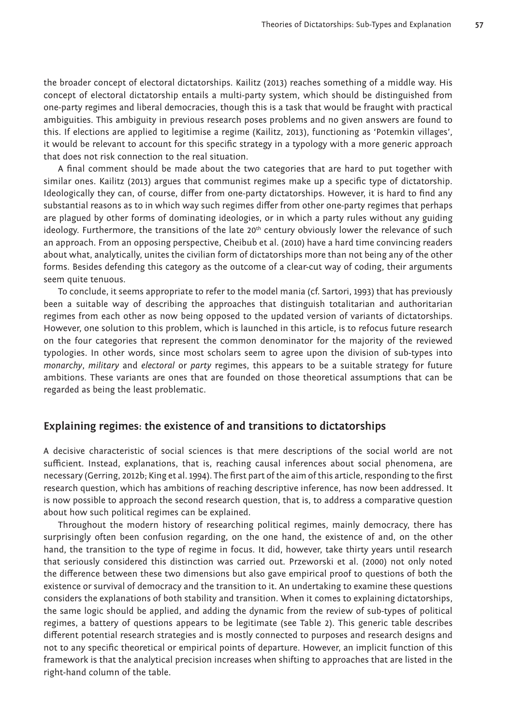the broader concept of electoral dictatorships. Kailitz (2013) reaches something of a middle way. His concept of electoral dictatorship entails a multi-party system, which should be distinguished from one-party regimes and liberal democracies, though this is a task that would be fraught with practical ambiguities. This ambiguity in previous research poses problems and no given answers are found to this. If elections are applied to legitimise a regime (Kailitz, 2013), functioning as 'Potemkin villages', it would be relevant to account for this specific strategy in a typology with a more generic approach that does not risk connection to the real situation.

A final comment should be made about the two categories that are hard to put together with similar ones. Kailitz (2013) argues that communist regimes make up a specific type of dictatorship. Ideologically they can, of course, differ from one-party dictatorships. However, it is hard to find any substantial reasons as to in which way such regimes differ from other one-party regimes that perhaps are plagued by other forms of dominating ideologies, or in which a party rules without any guiding ideology. Furthermore, the transitions of the late 20<sup>th</sup> century obviously lower the relevance of such an approach. From an opposing perspective, Cheibub et al. (2010) have a hard time convincing readers about what, analytically, unites the civilian form of dictatorships more than not being any of the other forms. Besides defending this category as the outcome of a clear-cut way of coding, their arguments seem quite tenuous.

To conclude, it seems appropriate to refer to the model mania (cf. Sartori, 1993) that has previously been a suitable way of describing the approaches that distinguish totalitarian and authoritarian regimes from each other as now being opposed to the updated version of variants of dictatorships. However, one solution to this problem, which is launched in this article, is to refocus future research on the four categories that represent the common denominator for the majority of the reviewed typologies. In other words, since most scholars seem to agree upon the division of sub-types into *monarchy*, *military* and *electoral* or *party* regimes, this appears to be a suitable strategy for future ambitions. These variants are ones that are founded on those theoretical assumptions that can be regarded as being the least problematic.

#### **Explaining regimes: the existence of and transitions to dictatorships**

A decisive characteristic of social sciences is that mere descriptions of the social world are not sufficient. Instead, explanations, that is, reaching causal inferences about social phenomena, are necessary (Gerring, 2012b; King et al. 1994). The first part of the aim of this article, responding to the first research question, which has ambitions of reaching descriptive inference, has now been addressed. It is now possible to approach the second research question, that is, to address a comparative question about how such political regimes can be explained.

Throughout the modern history of researching political regimes, mainly democracy, there has surprisingly often been confusion regarding, on the one hand, the existence of and, on the other hand, the transition to the type of regime in focus. It did, however, take thirty years until research that seriously considered this distinction was carried out. Przeworski et al. (2000) not only noted the difference between these two dimensions but also gave empirical proof to questions of both the existence or survival of democracy and the transition to it. An undertaking to examine these questions considers the explanations of both stability and transition. When it comes to explaining dictatorships, the same logic should be applied, and adding the dynamic from the review of sub-types of political regimes, a battery of questions appears to be legitimate (see Table 2). This generic table describes different potential research strategies and is mostly connected to purposes and research designs and not to any specific theoretical or empirical points of departure. However, an implicit function of this framework is that the analytical precision increases when shifting to approaches that are listed in the right-hand column of the table.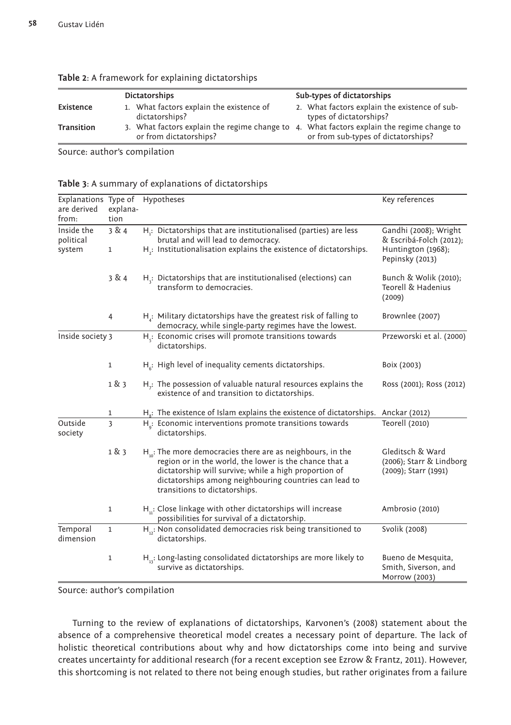| <b>Dictatorships</b> |  | Sub-types of dictatorships                                             |  |                                                                                     |
|----------------------|--|------------------------------------------------------------------------|--|-------------------------------------------------------------------------------------|
| Existence            |  | 1. What factors explain the existence of<br>dictatorships?             |  | 2. What factors explain the existence of sub-<br>types of dictatorships?            |
| <b>Transition</b>    |  | 3. What factors explain the regime change to<br>or from dictatorships? |  | 4. What factors explain the regime change to<br>or from sub-types of dictatorships? |

| Table 2: A framework for explaining dictatorships |  |  |
|---------------------------------------------------|--|--|
|                                                   |  |  |

Source: author's compilation

#### **Table 3**: A summary of explanations of dictatorships

| Explanations Type of<br>are derived<br>from: | explana-<br>tion | Hypotheses                                                                                                                                                                                                                                                                    | Key references                                                                            |
|----------------------------------------------|------------------|-------------------------------------------------------------------------------------------------------------------------------------------------------------------------------------------------------------------------------------------------------------------------------|-------------------------------------------------------------------------------------------|
| Inside the<br>political<br>system            | 3 & 4<br>1       | $H_i$ : Dictatorships that are institutionalised (parties) are less<br>brutal and will lead to democracy.<br>$Hz$ : Institutionalisation explains the existence of dictatorships.                                                                                             | Gandhi (2008); Wright<br>& Escribá-Folch (2012);<br>Huntington (1968);<br>Pepinsky (2013) |
|                                              | 3 & 4            | $H_i$ : Dictatorships that are institutionalised (elections) can<br>transform to democracies.                                                                                                                                                                                 | Bunch & Wolik (2010);<br>Teorell & Hadenius<br>(2009)                                     |
|                                              | $\overline{4}$   | $H_a$ : Military dictatorships have the greatest risk of falling to<br>democracy, while single-party regimes have the lowest.                                                                                                                                                 | Brownlee (2007)                                                                           |
| Inside society 3<br>1                        |                  | H <sub>r</sub> : Economic crises will promote transitions towards<br>dictatorships.                                                                                                                                                                                           | Przeworski et al. (2000)                                                                  |
|                                              |                  | $H6$ : High level of inequality cements dictatorships.                                                                                                                                                                                                                        | Boix (2003)                                                                               |
|                                              | 1 & 3            | $Hz$ : The possession of valuable natural resources explains the<br>existence of and transition to dictatorships.                                                                                                                                                             | Ross (2001); Ross (2012)                                                                  |
|                                              | 1                | $Hs$ : The existence of Islam explains the existence of dictatorships. Anckar (2012)                                                                                                                                                                                          |                                                                                           |
| Outside<br>society                           | 3                | H <sub>a</sub> : Economic interventions promote transitions towards<br>dictatorships.                                                                                                                                                                                         | Teorell (2010)                                                                            |
|                                              | 1 & 3            | $H_{10}$ : The more democracies there are as neighbours, in the<br>region or in the world, the lower is the chance that a<br>dictatorship will survive; while a high proportion of<br>dictatorships among neighbouring countries can lead to<br>transitions to dictatorships. | Gleditsch & Ward<br>(2006); Starr & Lindborg<br>(2009); Starr (1991)                      |
|                                              | $\mathbf 1$      | $H_{11}$ : Close linkage with other dictatorships will increase<br>possibilities for survival of a dictatorship.                                                                                                                                                              | Ambrosio (2010)                                                                           |
| Temporal<br>dimension                        | $\mathbf{1}$     | $H_{12}$ : Non consolidated democracies risk being transitioned to<br>dictatorships.                                                                                                                                                                                          | Svolik (2008)                                                                             |
|                                              | $\mathbf{1}$     | $H_{12}$ : Long-lasting consolidated dictatorships are more likely to<br>survive as dictatorships.                                                                                                                                                                            | Bueno de Mesquita,<br>Smith, Siverson, and<br>Morrow (2003)                               |

Source: author's compilation

Turning to the review of explanations of dictatorships, Karvonen's (2008) statement about the absence of a comprehensive theoretical model creates a necessary point of departure. The lack of holistic theoretical contributions about why and how dictatorships come into being and survive creates uncertainty for additional research (for a recent exception see Ezrow & Frantz, 2011). However, this shortcoming is not related to there not being enough studies, but rather originates from a failure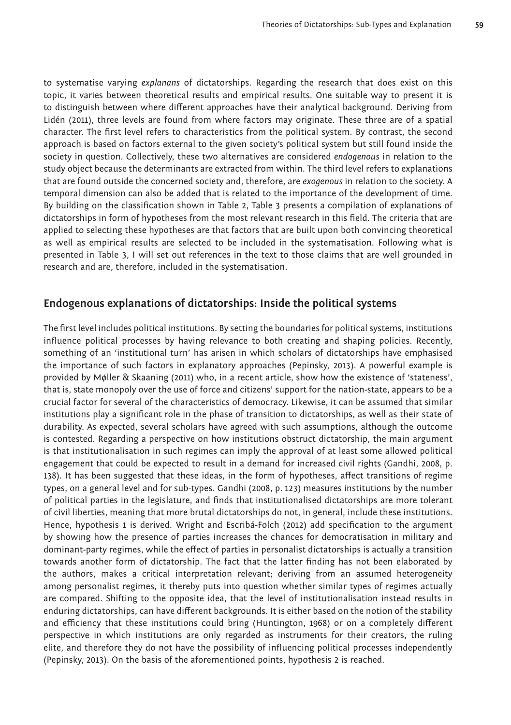to systematise varying *explanans* of dictatorships. Regarding the research that does exist on this topic, it varies between theoretical results and empirical results. One suitable way to present it is to distinguish between where different approaches have their analytical background. Deriving from Lidén (2011), three levels are found from where factors may originate. These three are of a spatial character. The first level refers to characteristics from the political system. By contrast, the second approach is based on factors external to the given society's political system but still found inside the society in question. Collectively, these two alternatives are considered *endogenous* in relation to the study object because the determinants are extracted from within. The third level refers to explanations that are found outside the concerned society and, therefore, are *exogenous* in relation to the society. A temporal dimension can also be added that is related to the importance of the development of time. By building on the classification shown in Table 2, Table 3 presents a compilation of explanations of dictatorships in form of hypotheses from the most relevant research in this field. The criteria that are applied to selecting these hypotheses are that factors that are built upon both convincing theoretical as well as empirical results are selected to be included in the systematisation. Following what is presented in Table 3, I will set out references in the text to those claims that are well grounded in research and are, therefore, included in the systematisation.

### **Endogenous explanations of dictatorships: Inside the political systems**

The first level includes political institutions. By setting the boundaries for political systems, institutions influence political processes by having relevance to both creating and shaping policies. Recently, something of an 'institutional turn' has arisen in which scholars of dictatorships have emphasised the importance of such factors in explanatory approaches (Pepinsky, 2013). A powerful example is provided by Møller & Skaaning (2011) who, in a recent article, show how the existence of 'stateness', that is, state monopoly over the use of force and citizens' support for the nation-state, appears to be a crucial factor for several of the characteristics of democracy. Likewise, it can be assumed that similar institutions play a significant role in the phase of transition to dictatorships, as well as their state of durability. As expected, several scholars have agreed with such assumptions, although the outcome is contested. Regarding a perspective on how institutions obstruct dictatorship, the main argument is that institutionalisation in such regimes can imply the approval of at least some allowed political engagement that could be expected to result in a demand for increased civil rights (Gandhi, 2008, p. 138). It has been suggested that these ideas, in the form of hypotheses, affect transitions of regime types, on a general level and for sub-types. Gandhi (2008, p. 123) measures institutions by the number of political parties in the legislature, and finds that institutionalised dictatorships are more tolerant of civil liberties, meaning that more brutal dictatorships do not, in general, include these institutions. Hence, hypothesis 1 is derived. Wright and Escribá-Folch (2012) add specification to the argument by showing how the presence of parties increases the chances for democratisation in military and dominant-party regimes, while the effect of parties in personalist dictatorships is actually a transition towards another form of dictatorship. The fact that the latter finding has not been elaborated by the authors, makes a critical interpretation relevant; deriving from an assumed heterogeneity among personalist regimes, it thereby puts into question whether similar types of regimes actually are compared. Shifting to the opposite idea, that the level of institutionalisation instead results in enduring dictatorships, can have different backgrounds. It is either based on the notion of the stability and efficiency that these institutions could bring (Huntington, 1968) or on a completely different perspective in which institutions are only regarded as instruments for their creators, the ruling elite, and therefore they do not have the possibility of influencing political processes independently (Pepinsky, 2013). On the basis of the aforementioned points, hypothesis 2 is reached.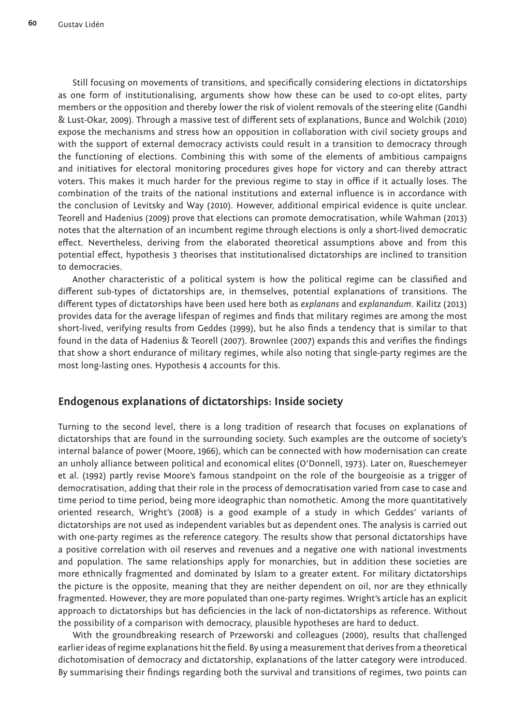Still focusing on movements of transitions, and specifically considering elections in dictatorships as one form of institutionalising, arguments show how these can be used to co-opt elites, party members or the opposition and thereby lower the risk of violent removals of the steering elite (Gandhi & Lust-Okar, 2009). Through a massive test of different sets of explanations, Bunce and Wolchik (2010) expose the mechanisms and stress how an opposition in collaboration with civil society groups and with the support of external democracy activists could result in a transition to democracy through the functioning of elections. Combining this with some of the elements of ambitious campaigns and initiatives for electoral monitoring procedures gives hope for victory and can thereby attract voters. This makes it much harder for the previous regime to stay in office if it actually loses. The combination of the traits of the national institutions and external influence is in accordance with the conclusion of Levitsky and Way (2010). However, additional empirical evidence is quite unclear. Teorell and Hadenius (2009) prove that elections can promote democratisation, while Wahman (2013) notes that the alternation of an incumbent regime through elections is only a short-lived democratic effect. Nevertheless, deriving from the elaborated theoretical assumptions above and from this potential effect, hypothesis 3 theorises that institutionalised dictatorships are inclined to transition to democracies.

Another characteristic of a political system is how the political regime can be classified and different sub-types of dictatorships are, in themselves, potential explanations of transitions. The different types of dictatorships have been used here both as *explanans* and *explanandum*. Kailitz (2013) provides data for the average lifespan of regimes and finds that military regimes are among the most short-lived, verifying results from Geddes (1999), but he also finds a tendency that is similar to that found in the data of Hadenius & Teorell (2007). Brownlee (2007) expands this and verifies the findings that show a short endurance of military regimes, while also noting that single-party regimes are the most long-lasting ones. Hypothesis 4 accounts for this.

### **Endogenous explanations of dictatorships: Inside society**

Turning to the second level, there is a long tradition of research that focuses on explanations of dictatorships that are found in the surrounding society. Such examples are the outcome of society's internal balance of power (Moore, 1966), which can be connected with how modernisation can create an unholy alliance between political and economical elites (O'Donnell, 1973). Later on, Rueschemeyer et al. (1992) partly revise Moore's famous standpoint on the role of the bourgeoisie as a trigger of democratisation, adding that their role in the process of democratisation varied from case to case and time period to time period, being more ideographic than nomothetic. Among the more quantitatively oriented research, Wright's (2008) is a good example of a study in which Geddes' variants of dictatorships are not used as independent variables but as dependent ones. The analysis is carried out with one-party regimes as the reference category. The results show that personal dictatorships have a positive correlation with oil reserves and revenues and a negative one with national investments and population. The same relationships apply for monarchies, but in addition these societies are more ethnically fragmented and dominated by Islam to a greater extent. For military dictatorships the picture is the opposite, meaning that they are neither dependent on oil, nor are they ethnically fragmented. However, they are more populated than one-party regimes. Wright's article has an explicit approach to dictatorships but has deficiencies in the lack of non-dictatorships as reference. Without the possibility of a comparison with democracy, plausible hypotheses are hard to deduct.

With the groundbreaking research of Przeworski and colleagues (2000), results that challenged earlier ideas of regime explanations hit the field. By using a measurement that derives from a theoretical dichotomisation of democracy and dictatorship, explanations of the latter category were introduced. By summarising their findings regarding both the survival and transitions of regimes, two points can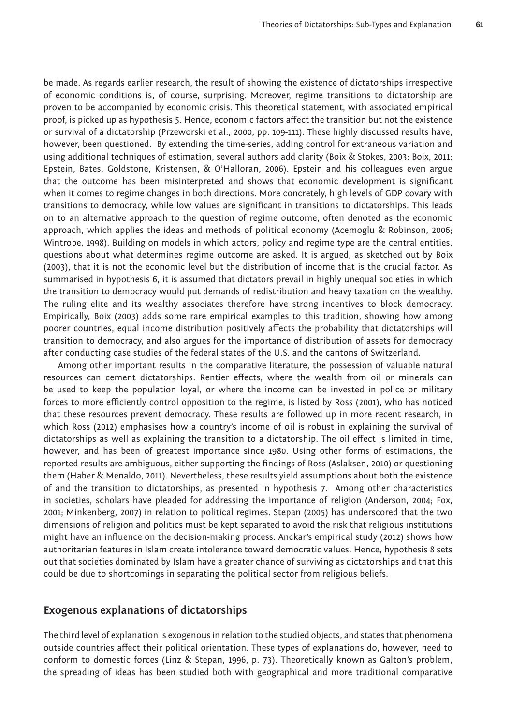be made. As regards earlier research, the result of showing the existence of dictatorships irrespective of economic conditions is, of course, surprising. Moreover, regime transitions to dictatorship are proven to be accompanied by economic crisis. This theoretical statement, with associated empirical proof, is picked up as hypothesis 5. Hence, economic factors affect the transition but not the existence or survival of a dictatorship (Przeworski et al., 2000, pp. 109-111). These highly discussed results have, however, been questioned. By extending the time-series, adding control for extraneous variation and using additional techniques of estimation, several authors add clarity (Boix & Stokes, 2003; Boix, 2011; Epstein, Bates, Goldstone, Kristensen, & O'Halloran, 2006). Epstein and his colleagues even argue that the outcome has been misinterpreted and shows that economic development is significant when it comes to regime changes in both directions. More concretely, high levels of GDP covary with transitions to democracy, while low values are significant in transitions to dictatorships. This leads on to an alternative approach to the question of regime outcome, often denoted as the economic approach, which applies the ideas and methods of political economy (Acemoglu & Robinson, 2006; Wintrobe, 1998). Building on models in which actors, policy and regime type are the central entities, questions about what determines regime outcome are asked. It is argued, as sketched out by Boix (2003), that it is not the economic level but the distribution of income that is the crucial factor. As summarised in hypothesis 6, it is assumed that dictators prevail in highly unequal societies in which the transition to democracy would put demands of redistribution and heavy taxation on the wealthy. The ruling elite and its wealthy associates therefore have strong incentives to block democracy. Empirically, Boix (2003) adds some rare empirical examples to this tradition, showing how among poorer countries, equal income distribution positively affects the probability that dictatorships will transition to democracy, and also argues for the importance of distribution of assets for democracy after conducting case studies of the federal states of the U.S. and the cantons of Switzerland.

Among other important results in the comparative literature, the possession of valuable natural resources can cement dictatorships. Rentier effects, where the wealth from oil or minerals can be used to keep the population loyal, or where the income can be invested in police or military forces to more efficiently control opposition to the regime, is listed by Ross (2001), who has noticed that these resources prevent democracy. These results are followed up in more recent research, in which Ross (2012) emphasises how a country's income of oil is robust in explaining the survival of dictatorships as well as explaining the transition to a dictatorship. The oil effect is limited in time, however, and has been of greatest importance since 1980. Using other forms of estimations, the reported results are ambiguous, either supporting the findings of Ross (Aslaksen, 2010) or questioning them (Haber & Menaldo, 2011). Nevertheless, these results yield assumptions about both the existence of and the transition to dictatorships, as presented in hypothesis 7. Among other characteristics in societies, scholars have pleaded for addressing the importance of religion (Anderson, 2004; Fox, 2001; Minkenberg, 2007) in relation to political regimes. Stepan (2005) has underscored that the two dimensions of religion and politics must be kept separated to avoid the risk that religious institutions might have an influence on the decision-making process. Anckar's empirical study (2012) shows how authoritarian features in Islam create intolerance toward democratic values. Hence, hypothesis 8 sets out that societies dominated by Islam have a greater chance of surviving as dictatorships and that this could be due to shortcomings in separating the political sector from religious beliefs.

#### **Exogenous explanations of dictatorships**

The third level of explanation is exogenous in relation to the studied objects, and states that phenomena outside countries affect their political orientation. These types of explanations do, however, need to conform to domestic forces (Linz & Stepan, 1996, p. 73). Theoretically known as Galton's problem, the spreading of ideas has been studied both with geographical and more traditional comparative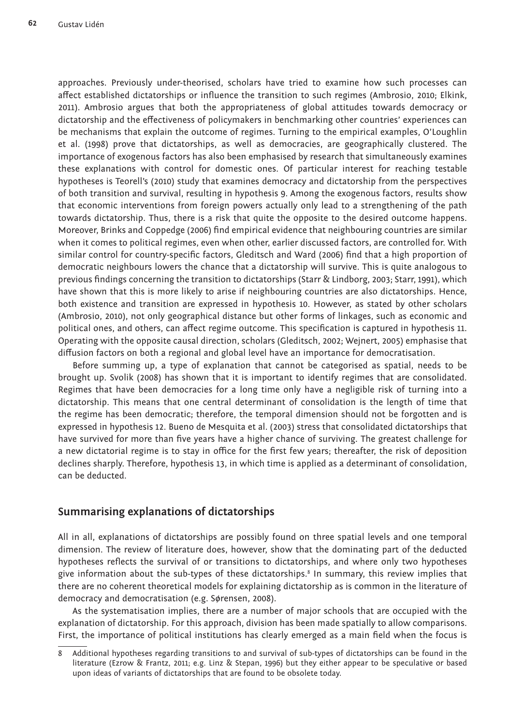approaches. Previously under-theorised, scholars have tried to examine how such processes can affect established dictatorships or influence the transition to such regimes (Ambrosio, 2010; Elkink, 2011). Ambrosio argues that both the appropriateness of global attitudes towards democracy or dictatorship and the effectiveness of policymakers in benchmarking other countries' experiences can be mechanisms that explain the outcome of regimes. Turning to the empirical examples, O'Loughlin et al. (1998) prove that dictatorships, as well as democracies, are geographically clustered. The importance of exogenous factors has also been emphasised by research that simultaneously examines these explanations with control for domestic ones. Of particular interest for reaching testable hypotheses is Teorell's (2010) study that examines democracy and dictatorship from the perspectives of both transition and survival, resulting in hypothesis 9. Among the exogenous factors, results show that economic interventions from foreign powers actually only lead to a strengthening of the path towards dictatorship. Thus, there is a risk that quite the opposite to the desired outcome happens. Moreover, Brinks and Coppedge (2006) find empirical evidence that neighbouring countries are similar when it comes to political regimes, even when other, earlier discussed factors, are controlled for. With similar control for country-specific factors, Gleditsch and Ward (2006) find that a high proportion of democratic neighbours lowers the chance that a dictatorship will survive. This is quite analogous to previous findings concerning the transition to dictatorships (Starr & Lindborg, 2003; Starr, 1991), which have shown that this is more likely to arise if neighbouring countries are also dictatorships. Hence, both existence and transition are expressed in hypothesis 10. However, as stated by other scholars (Ambrosio, 2010), not only geographical distance but other forms of linkages, such as economic and political ones, and others, can affect regime outcome. This specification is captured in hypothesis 11. Operating with the opposite causal direction, scholars (Gleditsch, 2002; Wejnert, 2005) emphasise that diffusion factors on both a regional and global level have an importance for democratisation.

Before summing up, a type of explanation that cannot be categorised as spatial, needs to be brought up. Svolik (2008) has shown that it is important to identify regimes that are consolidated. Regimes that have been democracies for a long time only have a negligible risk of turning into a dictatorship. This means that one central determinant of consolidation is the length of time that the regime has been democratic; therefore, the temporal dimension should not be forgotten and is expressed in hypothesis 12. Bueno de Mesquita et al. (2003) stress that consolidated dictatorships that have survived for more than five years have a higher chance of surviving. The greatest challenge for a new dictatorial regime is to stay in office for the first few years; thereafter, the risk of deposition declines sharply. Therefore, hypothesis 13, in which time is applied as a determinant of consolidation, can be deducted.

## **Summarising explanations of dictatorships**

All in all, explanations of dictatorships are possibly found on three spatial levels and one temporal dimension. The review of literature does, however, show that the dominating part of the deducted hypotheses reflects the survival of or transitions to dictatorships, and where only two hypotheses give information about the sub-types of these dictatorships.8 In summary, this review implies that there are no coherent theoretical models for explaining dictatorship as is common in the literature of democracy and democratisation (e.g. Sørensen, 2008).

As the systematisation implies, there are a number of major schools that are occupied with the explanation of dictatorship. For this approach, division has been made spatially to allow comparisons. First, the importance of political institutions has clearly emerged as a main field when the focus is

<sup>8</sup> Additional hypotheses regarding transitions to and survival of sub-types of dictatorships can be found in the literature (Ezrow & Frantz, 2011; e.g. Linz & Stepan, 1996) but they either appear to be speculative or based upon ideas of variants of dictatorships that are found to be obsolete today.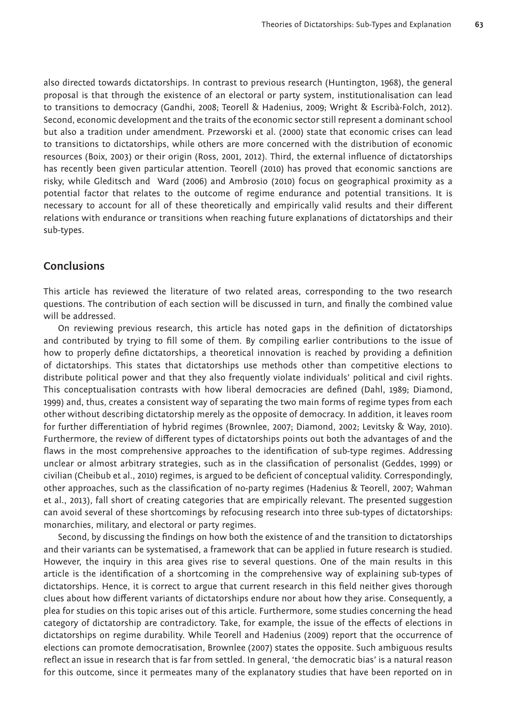also directed towards dictatorships. In contrast to previous research (Huntington, 1968), the general proposal is that through the existence of an electoral or party system, institutionalisation can lead to transitions to democracy (Gandhi, 2008; Teorell & Hadenius, 2009; Wright & Escribà-Folch, 2012). Second, economic development and the traits of the economic sector still represent a dominant school but also a tradition under amendment. Przeworski et al. (2000) state that economic crises can lead to transitions to dictatorships, while others are more concerned with the distribution of economic resources (Boix, 2003) or their origin (Ross, 2001, 2012). Third, the external influence of dictatorships has recently been given particular attention. Teorell (2010) has proved that economic sanctions are risky, while Gleditsch and Ward (2006) and Ambrosio (2010) focus on geographical proximity as a potential factor that relates to the outcome of regime endurance and potential transitions. It is necessary to account for all of these theoretically and empirically valid results and their different relations with endurance or transitions when reaching future explanations of dictatorships and their sub-types.

### **Conclusions**

This article has reviewed the literature of two related areas, corresponding to the two research questions. The contribution of each section will be discussed in turn, and finally the combined value will be addressed.

On reviewing previous research, this article has noted gaps in the definition of dictatorships and contributed by trying to fill some of them. By compiling earlier contributions to the issue of how to properly define dictatorships, a theoretical innovation is reached by providing a definition of dictatorships. This states that dictatorships use methods other than competitive elections to distribute political power and that they also frequently violate individuals' political and civil rights. This conceptualisation contrasts with how liberal democracies are defined (Dahl, 1989; Diamond, 1999) and, thus, creates a consistent way of separating the two main forms of regime types from each other without describing dictatorship merely as the opposite of democracy. In addition, it leaves room for further differentiation of hybrid regimes (Brownlee, 2007; Diamond, 2002; Levitsky & Way, 2010). Furthermore, the review of different types of dictatorships points out both the advantages of and the flaws in the most comprehensive approaches to the identification of sub-type regimes. Addressing unclear or almost arbitrary strategies, such as in the classification of personalist (Geddes, 1999) or civilian (Cheibub et al., 2010) regimes, is argued to be deficient of conceptual validity. Correspondingly, other approaches, such as the classification of no-party regimes (Hadenius & Teorell, 2007; Wahman et al., 2013), fall short of creating categories that are empirically relevant. The presented suggestion can avoid several of these shortcomings by refocusing research into three sub-types of dictatorships: monarchies, military, and electoral or party regimes.

Second, by discussing the findings on how both the existence of and the transition to dictatorships and their variants can be systematised, a framework that can be applied in future research is studied. However, the inquiry in this area gives rise to several questions. One of the main results in this article is the identification of a shortcoming in the comprehensive way of explaining sub-types of dictatorships. Hence, it is correct to argue that current research in this field neither gives thorough clues about how different variants of dictatorships endure nor about how they arise. Consequently, a plea for studies on this topic arises out of this article. Furthermore, some studies concerning the head category of dictatorship are contradictory. Take, for example, the issue of the effects of elections in dictatorships on regime durability. While Teorell and Hadenius (2009) report that the occurrence of elections can promote democratisation, Brownlee (2007) states the opposite. Such ambiguous results reflect an issue in research that is far from settled. In general, 'the democratic bias' is a natural reason for this outcome, since it permeates many of the explanatory studies that have been reported on in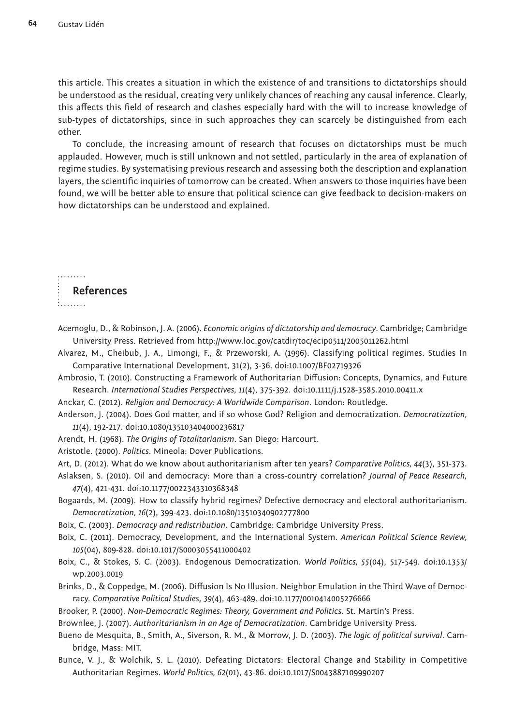this article. This creates a situation in which the existence of and transitions to dictatorships should be understood as the residual, creating very unlikely chances of reaching any causal inference. Clearly, this affects this field of research and clashes especially hard with the will to increase knowledge of sub-types of dictatorships, since in such approaches they can scarcely be distinguished from each other.

To conclude, the increasing amount of research that focuses on dictatorships must be much applauded. However, much is still unknown and not settled, particularly in the area of explanation of regime studies. By systematising previous research and assessing both the description and explanation layers, the scientific inquiries of tomorrow can be created. When answers to those inquiries have been found, we will be better able to ensure that political science can give feedback to decision-makers on how dictatorships can be understood and explained.

. . . . . . . . **References** 1. . . . . . . .

- Acemoglu, D., & Robinson, J. A. (2006). *Economic origins of dictatorship and democracy*. Cambridge; Cambridge University Press. Retrieved from <http://www.loc.gov/catdir/toc/ecip0511/2005011262.html>
- Alvarez, M., Cheibub, J. A., Limongi, F., & Przeworski, A. (1996). Classifying political regimes. Studies In Comparative International Development, 31(2), 3-36. doi:10.1007/BF02719326
- Ambrosio, T. (2010). Constructing a Framework of Authoritarian Diffusion: Concepts, Dynamics, and Future Research. *International Studies Perspectives, 11*(4), 375-392. doi:10.1111/j.1528-3585.2010.00411.x
- Anckar, C. (2012). *Religion and Democracy: A Worldwide Comparison*. London: Routledge.
- Anderson, J. (2004). Does God matter, and if so whose God? Religion and democratization. *Democratization, 11*(4), 192-217. doi:10.1080/135103404000236817
- Arendt, H. (1968). *The Origins of Totalitarianism*. San Diego: Harcourt.
- Aristotle. (2000). *Politics*. Mineola: Dover Publications.
- Art, D. (2012). What do we know about authoritarianism after ten years? *Comparative Politics, 44*(3), 351-373.
- Aslaksen, S. (2010). Oil and democracy: More than a cross-country correlation? *Journal of Peace Research, 47*(4), 421-431. doi:10.1177/0022343310368348
- Bogaards, M. (2009). How to classify hybrid regimes? Defective democracy and electoral authoritarianism. *Democratization, 16*(2), 399-423. doi:10.1080/13510340902777800
- Boix, C. (2003). *Democracy and redistribution*. Cambridge: Cambridge University Press.
- Boix, C. (2011). Democracy, Development, and the International System. *American Political Science Review, 105*(04), 809-828. doi:10.1017/S0003055411000402
- Boix, C., & Stokes, S. C. (2003). Endogenous Democratization. *World Politics, 55*(04), 517-549. doi:10.1353/ wp.2003.0019
- Brinks, D., & Coppedge, M. (2006). Diffusion Is No Illusion. Neighbor Emulation in the Third Wave of Democracy. *Comparative Political Studies, 39*(4), 463-489. doi:10.1177/0010414005276666
- Brooker, P. (2000). *Non-Democratic Regimes: Theory, Government and Politics*. St. Martin's Press.
- Brownlee, J. (2007). *Authoritarianism in an Age of Democratization*. Cambridge University Press.
- Bueno de Mesquita, B., Smith, A., Siverson, R. M., & Morrow, J. D. (2003). *The logic of political survival*. Cambridge, Mass: MIT.
- Bunce, V. J., & Wolchik, S. L. (2010). Defeating Dictators: Electoral Change and Stability in Competitive Authoritarian Regimes. *World Politics, 62*(01), 43-86. doi:10.1017/S0043887109990207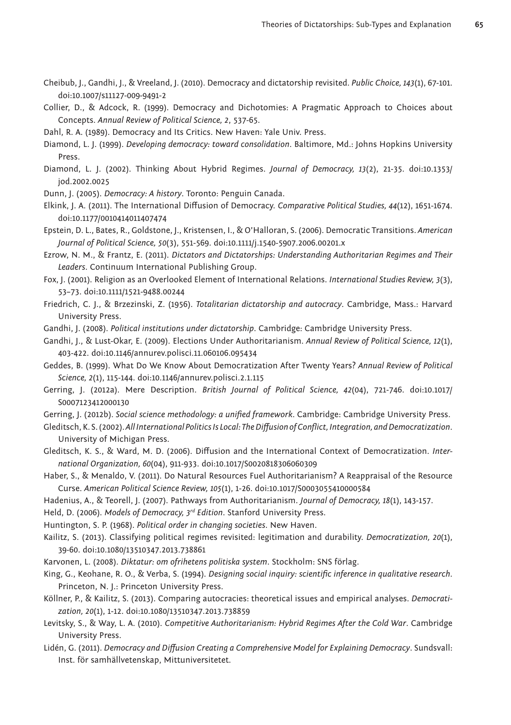- Cheibub, J., Gandhi, J., & Vreeland, J. (2010). Democracy and dictatorship revisited. *Public Choice, 143*(1), 67-101. doi:10.1007/s11127-009-9491-2
- Collier, D., & Adcock, R. (1999). Democracy and Dichotomies: A Pragmatic Approach to Choices about Concepts. *Annual Review of Political Science, 2*, 537-65.

Dahl, R. A. (1989). Democracy and Its Critics. New Haven: Yale Univ. Press.

- Diamond, L. J. (1999). *Developing democracy: toward consolidation*. Baltimore, Md.: Johns Hopkins University Press.
- Diamond, L. J. (2002). Thinking About Hybrid Regimes. *Journal of Democracy, 13*(2), 21-35. doi:10.1353/ jod.2002.0025

Dunn, J. (2005). *Democracy: A history*. Toronto: Penguin Canada.

- Elkink, J. A. (2011). The International Diffusion of Democracy. *Comparative Political Studies, 44*(12), 1651-1674. doi:10.1177/0010414011407474
- Epstein, D. L., Bates, R., Goldstone, J., Kristensen, I., & O'Halloran, S. (2006). Democratic Transitions. *American Journal of Political Science, 50*(3), 551-569. doi:10.1111/j.1540-5907.2006.00201.x

Ezrow, N. M., & Frantz, E. (2011). *Dictators and Dictatorships: Understanding Authoritarian Regimes and Their Leaders*. Continuum International Publishing Group.

Fox, J. (2001). Religion as an Overlooked Element of International Relations. *International Studies Review, 3*(3), 53–73. doi:10.1111/1521-9488.00244

Friedrich, C. J., & Brzezinski, Z. (1956). *Totalitarian dictatorship and autocracy*. Cambridge, Mass.: Harvard University Press.

Gandhi, J. (2008). *Political institutions under dictatorship*. Cambridge: Cambridge University Press.

Gandhi, J., & Lust-Okar, E. (2009). Elections Under Authoritarianism. *Annual Review of Political Science, 12*(1), 403-422. doi:10.1146/annurev.polisci.11.060106.095434

Geddes, B. (1999). What Do We Know About Democratization After Twenty Years? *Annual Review of Political Science, 2*(1), 115-144. doi:10.1146/annurev.polisci.2.1.115

Gerring, J. (2012a). Mere Description. *British Journal of Political Science, 42*(04), 721-746. doi:10.1017/ S0007123412000130

Gerring, J. (2012b). *Social science methodology: a unified framework*. Cambridge: Cambridge University Press.

Gleditsch, K. S. (2002). *All International Politics Is Local: The Diffusion of Conflict, Integration, and Democratization*. University of Michigan Press.

- Gleditsch, K. S., & Ward, M. D. (2006). Diffusion and the International Context of Democratization. *International Organization, 60*(04), 911-933. doi:10.1017/S0020818306060309
- Haber, S., & Menaldo, V. (2011). Do Natural Resources Fuel Authoritarianism? A Reappraisal of the Resource Curse. *American Political Science Review, 105*(1), 1-26. doi:10.1017/S0003055410000584
- Hadenius, A., & Teorell, J. (2007). Pathways from Authoritarianism. *Journal of Democracy, 18*(1), 143-157.

Held, D. (2006). *Models of Democracy, 3rd Edition*. Stanford University Press.

Huntington, S. P. (1968). *Political order in changing societies*. New Haven.

- Kailitz, S. (2013). Classifying political regimes revisited: legitimation and durability. *Democratization, 20*(1), 39-60. doi:10.1080/13510347.2013.738861
- Karvonen, L. (2008). *Diktatur: om ofrihetens politiska system*. Stockholm: SNS förlag.

King, G., Keohane, R. O., & Verba, S. (1994). *Designing social inquiry: scientific inference in qualitative research*. Princeton, N. J.: Princeton University Press.

- Köllner, P., & Kailitz, S. (2013). Comparing autocracies: theoretical issues and empirical analyses. *Democratization, 20*(1), 1-12. doi:10.1080/13510347.2013.738859
- Levitsky, S., & Way, L. A. (2010). *Competitive Authoritarianism: Hybrid Regimes After the Cold War*. Cambridge University Press.
- Lidén, G. (2011). *Democracy and Diffusion Creating a Comprehensive Model for Explaining Democracy*. Sundsvall: Inst. för samhällvetenskap, Mittuniversitetet.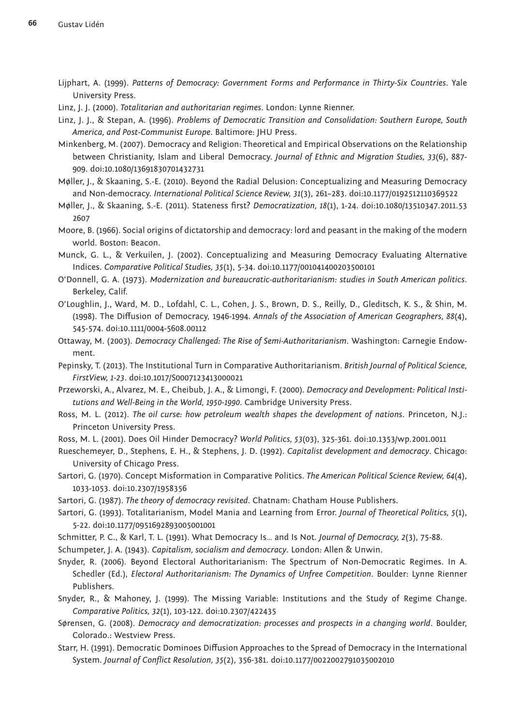Lijphart, A. (1999). *Patterns of Democracy: Government Forms and Performance in Thirty-Six Countries*. Yale University Press.

Linz, J. J. (2000). *Totalitarian and authoritarian regimes*. London: Lynne Rienner.

Linz, J. J., & Stepan, A. (1996). *Problems of Democratic Transition and Consolidation: Southern Europe, South America, and Post-Communist Europe*. Baltimore: JHU Press.

Minkenberg, M. (2007). Democracy and Religion: Theoretical and Empirical Observations on the Relationship between Christianity, Islam and Liberal Democracy. *Journal of Ethnic and Migration Studies, 33*(6), 887- 909. doi:10.1080/13691830701432731

Møller, J., & Skaaning, S.-E. (2010). Beyond the Radial Delusion: Conceptualizing and Measuring Democracy and Non-democracy. *International Political Science Review, 31*(3), 261–283. doi:10.1177/0192512110369522

Møller, J., & Skaaning, S.-E. (2011). Stateness first? *Democratization, 18*(1), 1-24. doi:10.1080/13510347.2011.53 2607

Moore, B. (1966). Social origins of dictatorship and democracy: lord and peasant in the making of the modern world. Boston: Beacon.

Munck, G. L., & Verkuilen, J. (2002). Conceptualizing and Measuring Democracy Evaluating Alternative Indices. *Comparative Political Studies, 35*(1), 5-34. doi:10.1177/001041400203500101

O'Donnell, G. A. (1973). *Modernization and bureaucratic-authoritarianism: studies in South American politics*. Berkeley, Calif.

O'Loughlin, J., Ward, M. D., Lofdahl, C. L., Cohen, J. S., Brown, D. S., Reilly, D., Gleditsch, K. S., & Shin, M. (1998). The Diffusion of Democracy, 1946-1994. *Annals of the Association of American Geographers, 88*(4), 545-574. doi:10.1111/0004-5608.00112

Ottaway, M. (2003). *Democracy Challenged: The Rise of Semi-Authoritarianism*. Washington: Carnegie Endowment.

Pepinsky, T. (2013). The Institutional Turn in Comparative Authoritarianism. *British Journal of Political Science, FirstView, 1-23*. doi:10.1017/S0007123413000021

Przeworski, A., Alvarez, M. E., Cheibub, J. A., & Limongi, F. (2000). *Democracy and Development: Political Institutions and Well-Being in the World, 1950-1990*. Cambridge University Press.

Ross, M. L. (2012). *The oil curse: how petroleum wealth shapes the development of nations*. Princeton, N.J.: Princeton University Press.

Ross, M. L. (2001). Does Oil Hinder Democracy? *World Politics, 53*(03), 325-361. doi:10.1353/wp.2001.0011

Rueschemeyer, D., Stephens, E. H., & Stephens, J. D. (1992). *Capitalist development and democracy*. Chicago: University of Chicago Press.

Sartori, G. (1970). Concept Misformation in Comparative Politics. *The American Political Science Review, 64*(4), 1033-1053. doi:10.2307/1958356

Sartori, G. (1987). *The theory of democracy revisited*. Chatnam: Chatham House Publishers.

Sartori, G. (1993). Totalitarianism, Model Mania and Learning from Error. *Journal of Theoretical Politics, 5*(1), 5-22. doi:10.1177/0951692893005001001

Schmitter, P. C., & Karl, T. L. (1991). What Democracy Is… and Is Not. *Journal of Democracy, 2*(3), 75-88.

Schumpeter, J. A. (1943). *Capitalism, socialism and democracy*. London: Allen & Unwin.

Snyder, R. (2006). Beyond Electoral Authoritarianism: The Spectrum of Non-Democratic Regimes. In A. Schedler (Ed.), *Electoral Authoritarianism: The Dynamics of Unfree Competition*. Boulder: Lynne Rienner Publishers.

Snyder, R., & Mahoney, J. (1999). The Missing Variable: Institutions and the Study of Regime Change. *Comparative Politics, 32*(1), 103-122. doi:10.2307/422435

Sørensen, G. (2008). *Democracy and democratization: processes and prospects in a changing world*. Boulder, Colorado.: Westview Press.

Starr, H. (1991). Democratic Dominoes Diffusion Approaches to the Spread of Democracy in the International System. *Journal of Conflict Resolution, 35*(2), 356-381. doi:10.1177/0022002791035002010